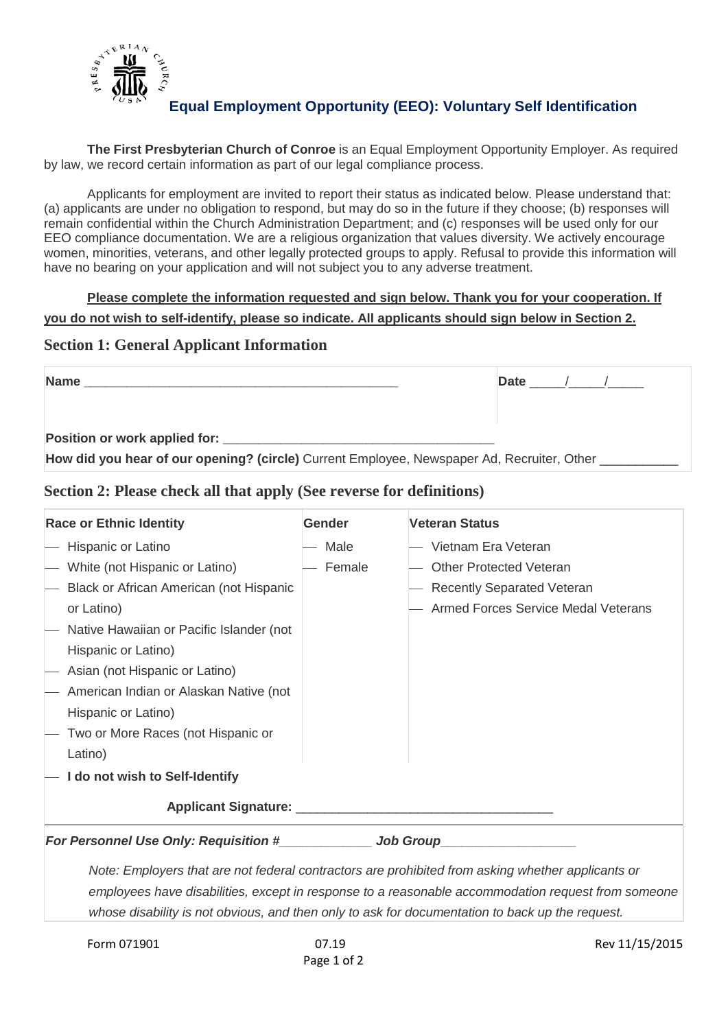

# **Equal Employment Opportunity (EEO): Voluntary Self Identification**

**The First Presbyterian Church of Conroe** is an Equal Employment Opportunity Employer. As required by law, we record certain information as part of our legal compliance process.

Applicants for employment are invited to report their status as indicated below. Please understand that: (a) applicants are under no obligation to respond, but may do so in the future if they choose; (b) responses will remain confidential within the Church Administration Department; and (c) responses will be used only for our EEO compliance documentation. We are a religious organization that values diversity. We actively encourage women, minorities, veterans, and other legally protected groups to apply. Refusal to provide this information will have no bearing on your application and will not subject you to any adverse treatment.

**Please complete the information requested and sign below. Thank you for your cooperation. If you do not wish to self-identify, please so indicate. All applicants should sign below in Section 2.**

### **Section 1: General Applicant Information**

| <b>Name</b>                                                                                | Date |  |
|--------------------------------------------------------------------------------------------|------|--|
|                                                                                            |      |  |
| Position or work applied for:                                                              |      |  |
| How did you hear of our opening? (circle) Current Employee, Newspaper Ad, Recruiter, Other |      |  |

## **Section 2: Please check all that apply (See reverse for definitions)**

| <b>Race or Ethnic Identity</b>                                                                                                                                                                          | <b>Gender</b> | <b>Veteran Status</b>                      |  |
|---------------------------------------------------------------------------------------------------------------------------------------------------------------------------------------------------------|---------------|--------------------------------------------|--|
| Hispanic or Latino                                                                                                                                                                                      | Male          | Vietnam Era Veteran                        |  |
| White (not Hispanic or Latino)                                                                                                                                                                          | Female        | <b>Other Protected Veteran</b>             |  |
| Black or African American (not Hispanic                                                                                                                                                                 |               | - Recently Separated Veteran               |  |
| or Latino)                                                                                                                                                                                              |               | <b>Armed Forces Service Medal Veterans</b> |  |
| Native Hawaiian or Pacific Islander (not                                                                                                                                                                |               |                                            |  |
| Hispanic or Latino)                                                                                                                                                                                     |               |                                            |  |
| Asian (not Hispanic or Latino)                                                                                                                                                                          |               |                                            |  |
| American Indian or Alaskan Native (not                                                                                                                                                                  |               |                                            |  |
| Hispanic or Latino)                                                                                                                                                                                     |               |                                            |  |
| Two or More Races (not Hispanic or                                                                                                                                                                      |               |                                            |  |
| Latino)                                                                                                                                                                                                 |               |                                            |  |
| I do not wish to Self-Identify                                                                                                                                                                          |               |                                            |  |
|                                                                                                                                                                                                         |               |                                            |  |
| For Personnel Use Only: Requisition #______________ Job Group_                                                                                                                                          |               |                                            |  |
| Note: Employers that are not federal contractors are prohibited from asking whether applicants or<br>employees have disabilities, except in response to a reasonable accommodation request from someone |               |                                            |  |

*whose disability is not obvious, and then only to ask for documentation to back up the request.*